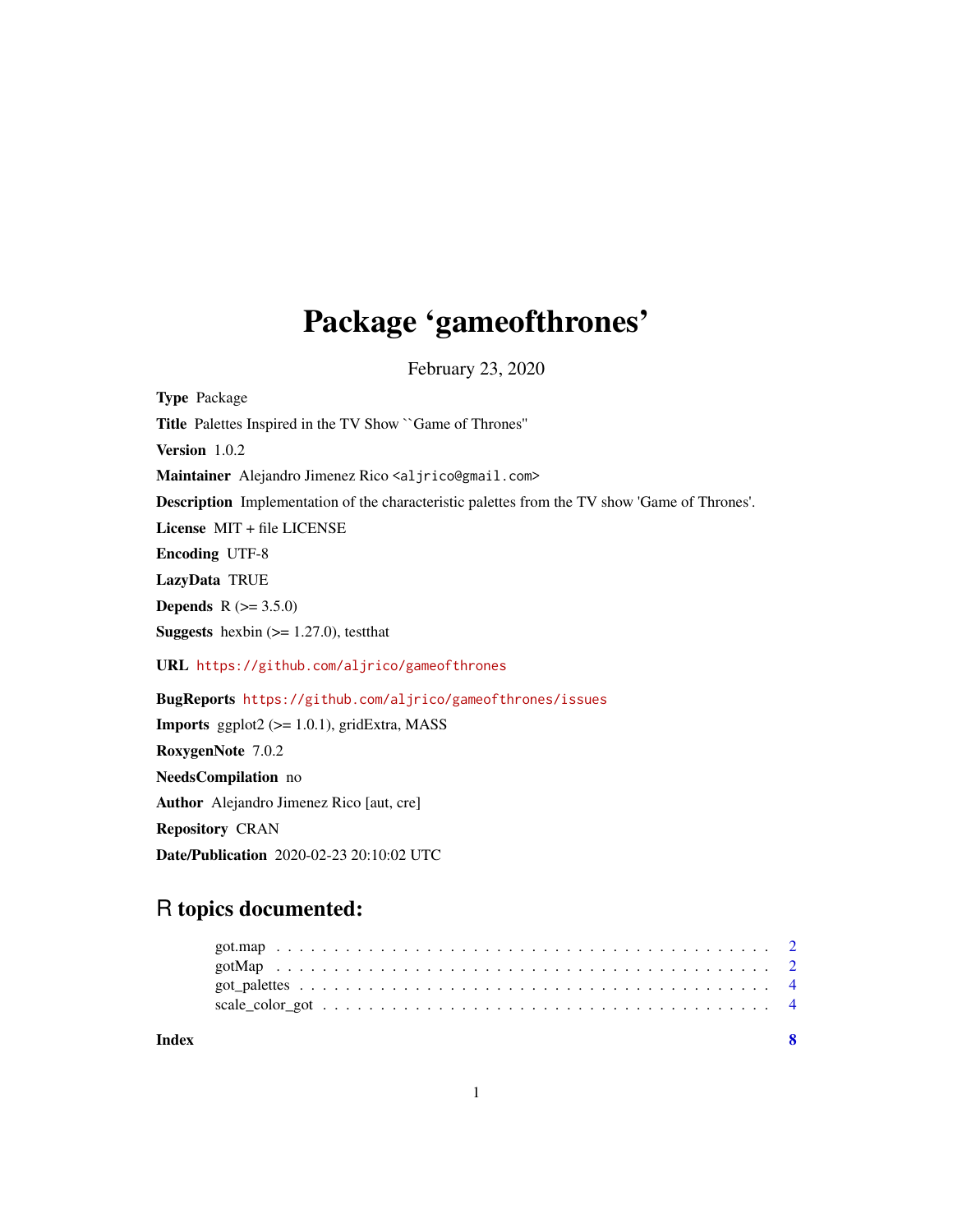## Package 'gameofthrones'

February 23, 2020

<span id="page-0-0"></span>Type Package Title Palettes Inspired in the TV Show ``Game of Thrones'' Version 1.0.2 Maintainer Alejandro Jimenez Rico <aljrico@gmail.com> Description Implementation of the characteristic palettes from the TV show 'Game of Thrones'. License MIT + file LICENSE Encoding UTF-8 LazyData TRUE **Depends**  $R (= 3.5.0)$ **Suggests** hexbin  $(>= 1.27.0)$ , test that URL <https://github.com/aljrico/gameofthrones> BugReports <https://github.com/aljrico/gameofthrones/issues> **Imports** ggplot2 ( $>= 1.0.1$ ), gridExtra, MASS RoxygenNote 7.0.2 NeedsCompilation no Author Alejandro Jimenez Rico [aut, cre] Repository CRAN

Date/Publication 2020-02-23 20:10:02 UTC

### R topics documented:

| Index |  |
|-------|--|
|       |  |
|       |  |
|       |  |
|       |  |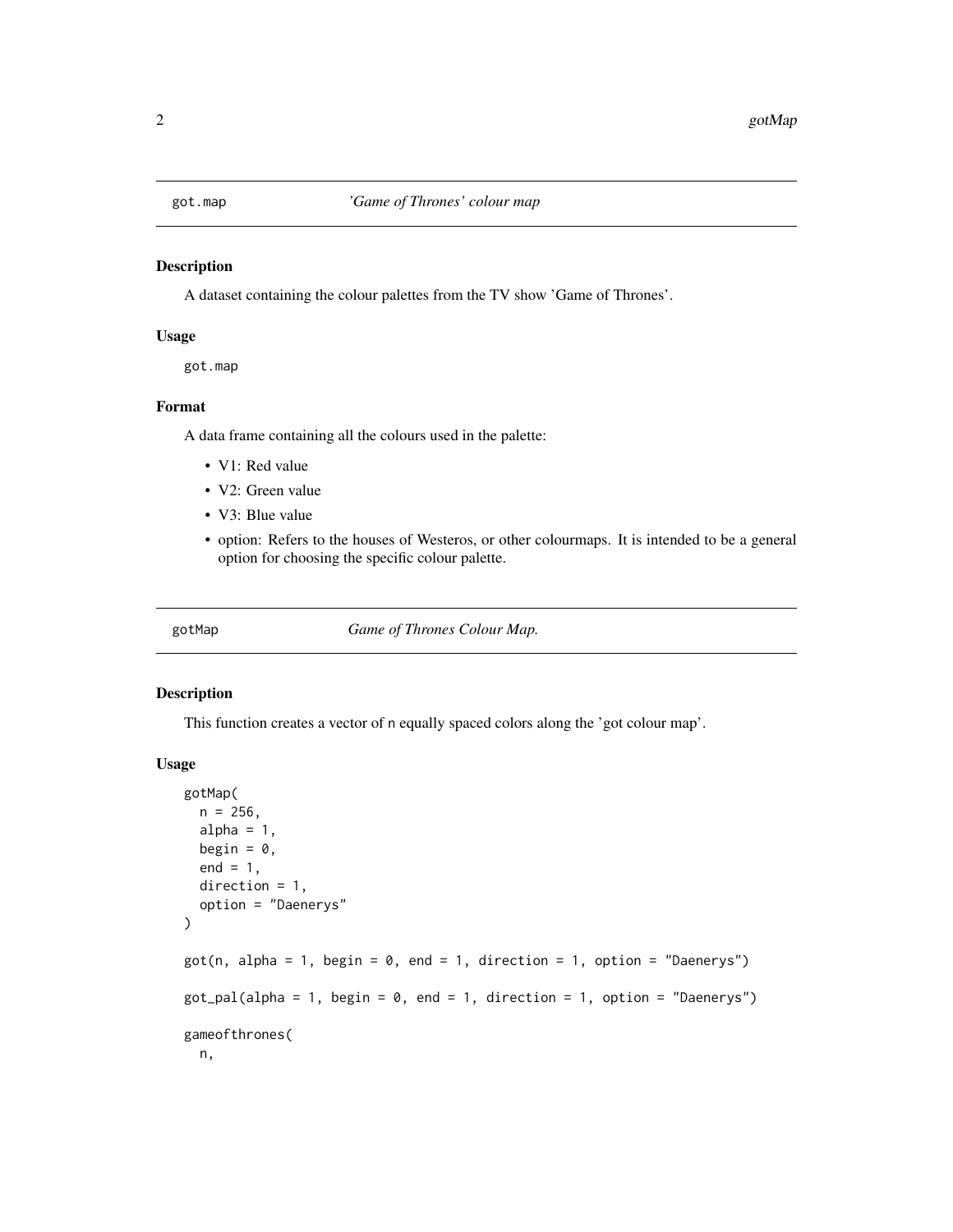<span id="page-1-0"></span>

#### Description

A dataset containing the colour palettes from the TV show 'Game of Thrones'.

#### Usage

```
got.map
```
#### Format

A data frame containing all the colours used in the palette:

- V1: Red value
- V2: Green value
- V3: Blue value
- option: Refers to the houses of Westeros, or other colourmaps. It is intended to be a general option for choosing the specific colour palette.

gotMap *Game of Thrones Colour Map.*

#### <span id="page-1-1"></span>Description

This function creates a vector of n equally spaced colors along the 'got colour map'.

#### Usage

```
gotMap(
  n = 256,
  alpha = 1,
 begin = 0,
  end = 1,
  direction = 1,
  option = "Daenerys"
)
got(n, alpha = 1, begin = 0, end = 1, direction = 1, option = "Daenerys")got\_pal(alpha = 1, begin = 0, end = 1, direction = 1, option = "Daenerys")gameofthrones(
 n,
```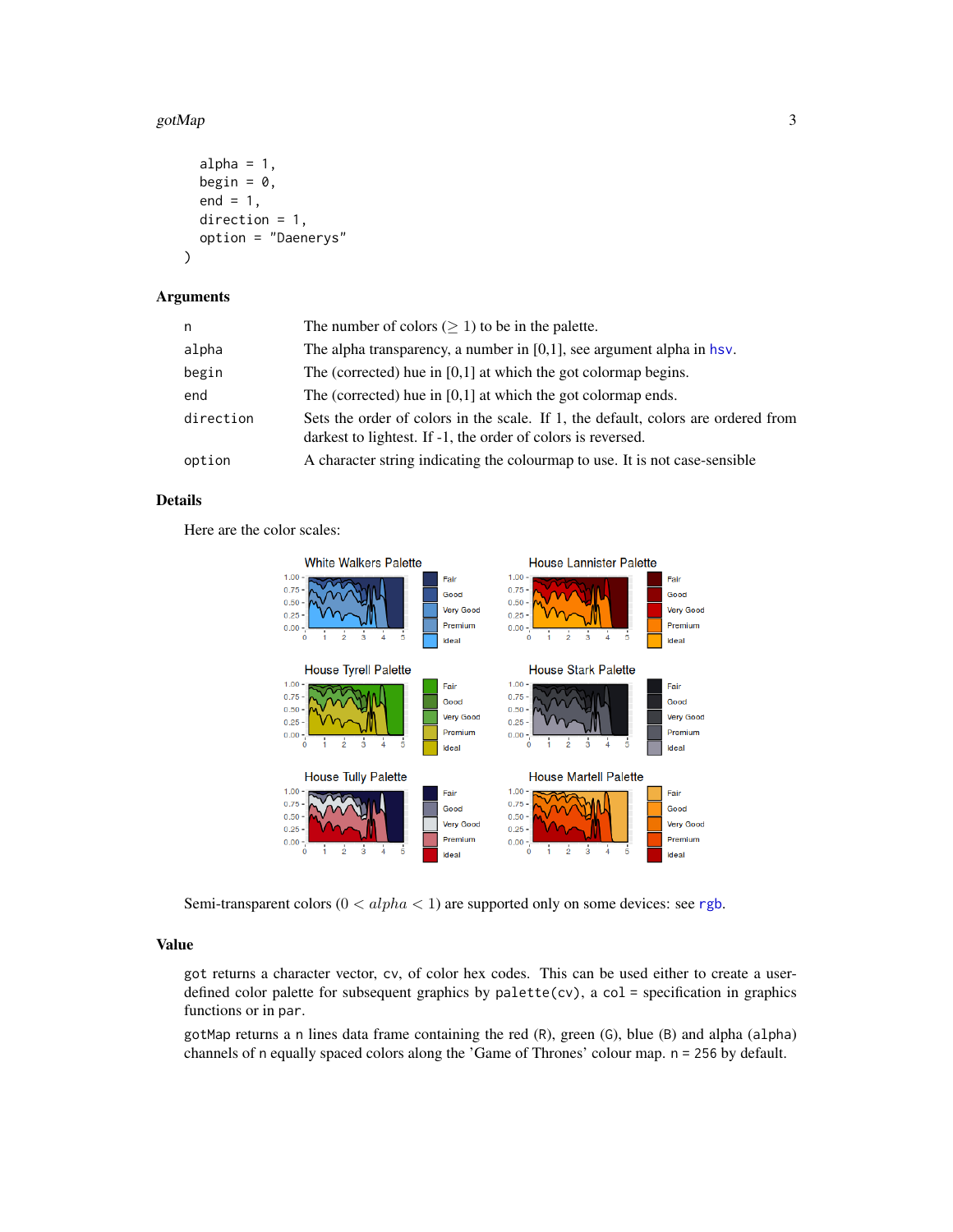#### <span id="page-2-0"></span>gotMap  $\qquad \qquad 3$

```
alpha = 1,
  begin = \theta,
  end = 1,
  direction = 1,
  option = "Daenerys"
\mathcal{E}
```
#### Arguments

| n         | The number of colors ( $\geq$ 1) to be in the palette.                                                                                            |
|-----------|---------------------------------------------------------------------------------------------------------------------------------------------------|
| alpha     | The alpha transparency, a number in $[0,1]$ , see argument alpha in hsv.                                                                          |
| begin     | The (corrected) hue in $[0,1]$ at which the got colormap begins.                                                                                  |
| end       | The (corrected) hue in $[0,1]$ at which the got colormap ends.                                                                                    |
| direction | Sets the order of colors in the scale. If 1, the default, colors are ordered from<br>darkest to lightest. If -1, the order of colors is reversed. |
| option    | A character string indicating the colourmap to use. It is not case-sensible                                                                       |

#### Details

Here are the color scales:



Semi-transparent colors ( $0 < alpha < 1$ ) are supported only on some devices: see [rgb](#page-0-0).

#### Value

got returns a character vector, cv, of color hex codes. This can be used either to create a userdefined color palette for subsequent graphics by palette(cv), a col = specification in graphics functions or in par.

gotMap returns a n lines data frame containing the red (R), green (G), blue (B) and alpha (alpha) channels of n equally spaced colors along the 'Game of Thrones' colour map. n = 256 by default.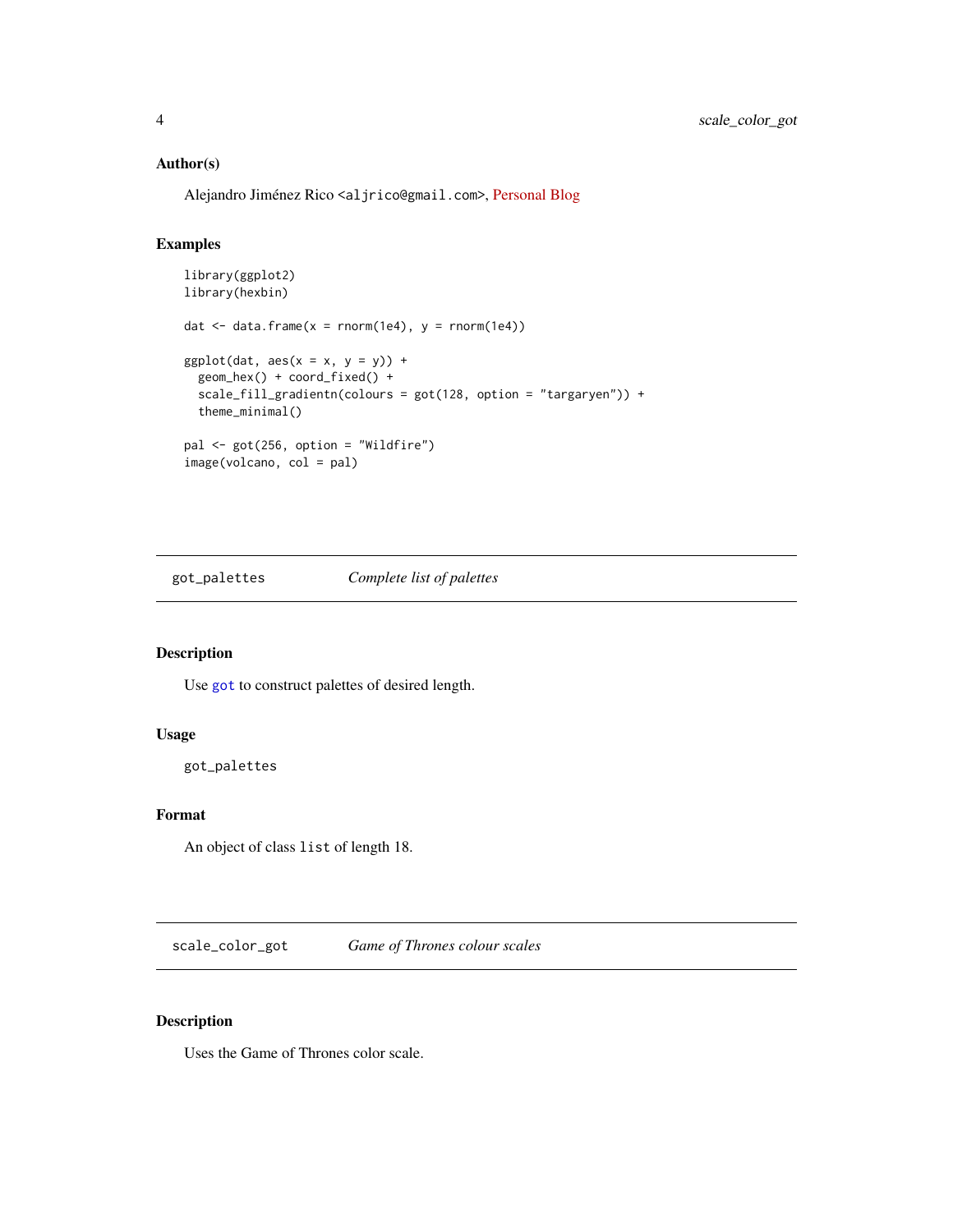#### <span id="page-3-0"></span>Author(s)

Alejandro Jiménez Rico <aljrico@gmail.com>, [Personal Blog](https://aljrico.github.io)

#### Examples

```
library(ggplot2)
library(hexbin)
dat \le data.frame(x = rnorm(1e4), y = rnorm(1e4))
ggplot(data, aes(x = x, y = y)) +geom_hex() + coord_fixed() +
  scale_fill_gradientn(colours = got(128, option = "targaryen")) +
  theme_minimal()
pal <- got(256, option = "Wildfire")
image(volcano, col = pal)
```
got\_palettes *Complete list of palettes*

#### Description

Use [got](#page-1-1) to construct palettes of desired length.

#### Usage

got\_palettes

#### Format

An object of class list of length 18.

scale\_color\_got *Game of Thrones colour scales*

#### Description

Uses the Game of Thrones color scale.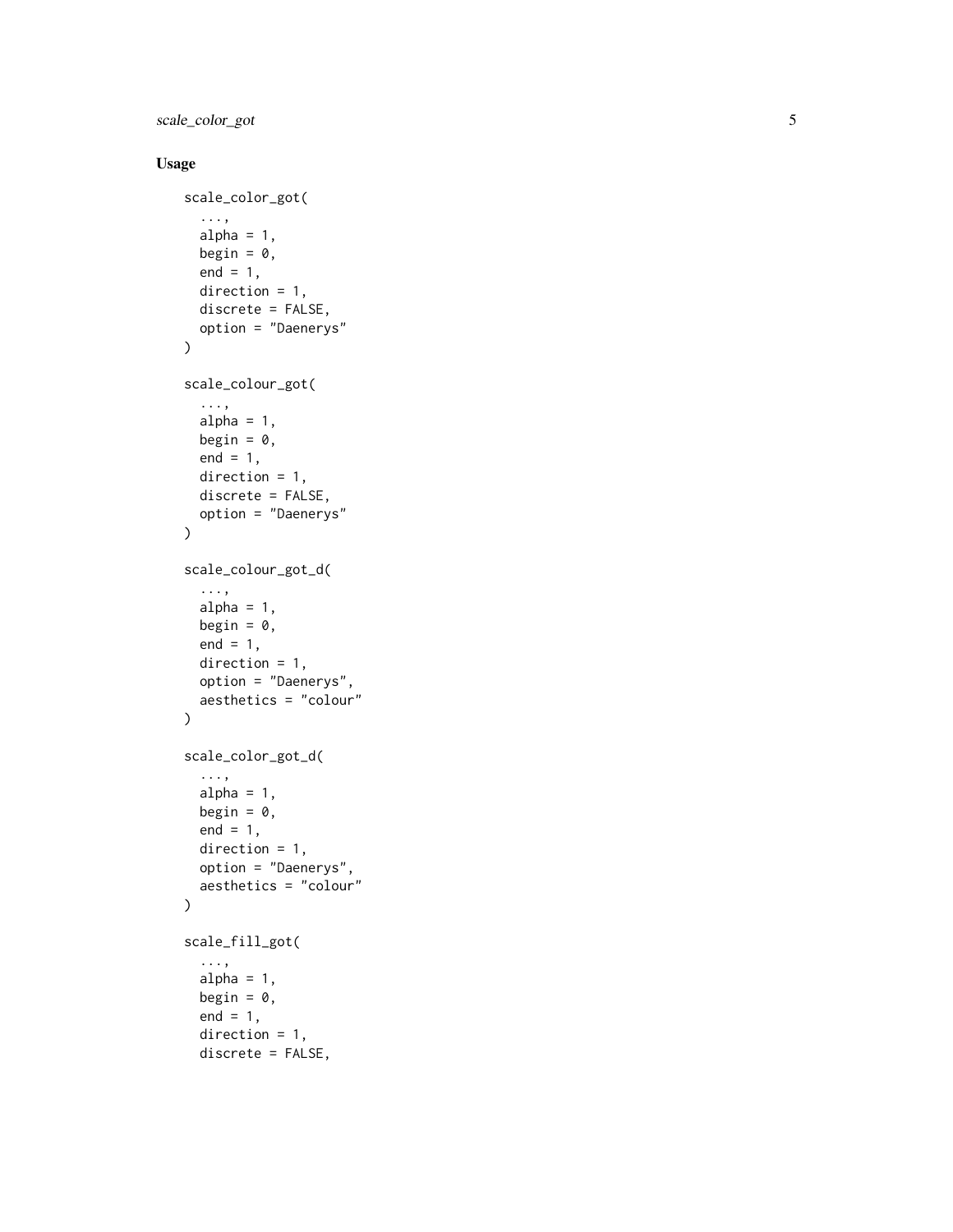scale\_color\_got

#### Usage

```
scale_color_got(
  ...,
  alpha = 1,
  begin = 0,
  end = 1,
  direction = 1,
  discrete = FALSE,
  option = "Daenerys"
\mathcal{L}scale_colour_got(
  ...,
  alpha = 1,
  begin = 0,
  end = 1,
  direction = 1,
  discrete = FALSE,
  option = "Daenerys"
\lambdascale_colour_got_d(
  ...,
  alpha = 1,
  begin = \theta,
  end = 1,
  direction = 1,
  option = "Daenerys",
  aesthetics = "colour"
\mathcal{L}scale_color_got_d(
  ...,
  alpha = 1,
  begin = 0,
  end = 1,
  direction = 1,
  option = "Daenerys",
  aesthetics = "colour"
\mathcal{L}scale_fill_got(
  ...,
  alpha = 1,
  begin = 0,
  end = 1,
  direction = 1,
  discrete = FALSE,
```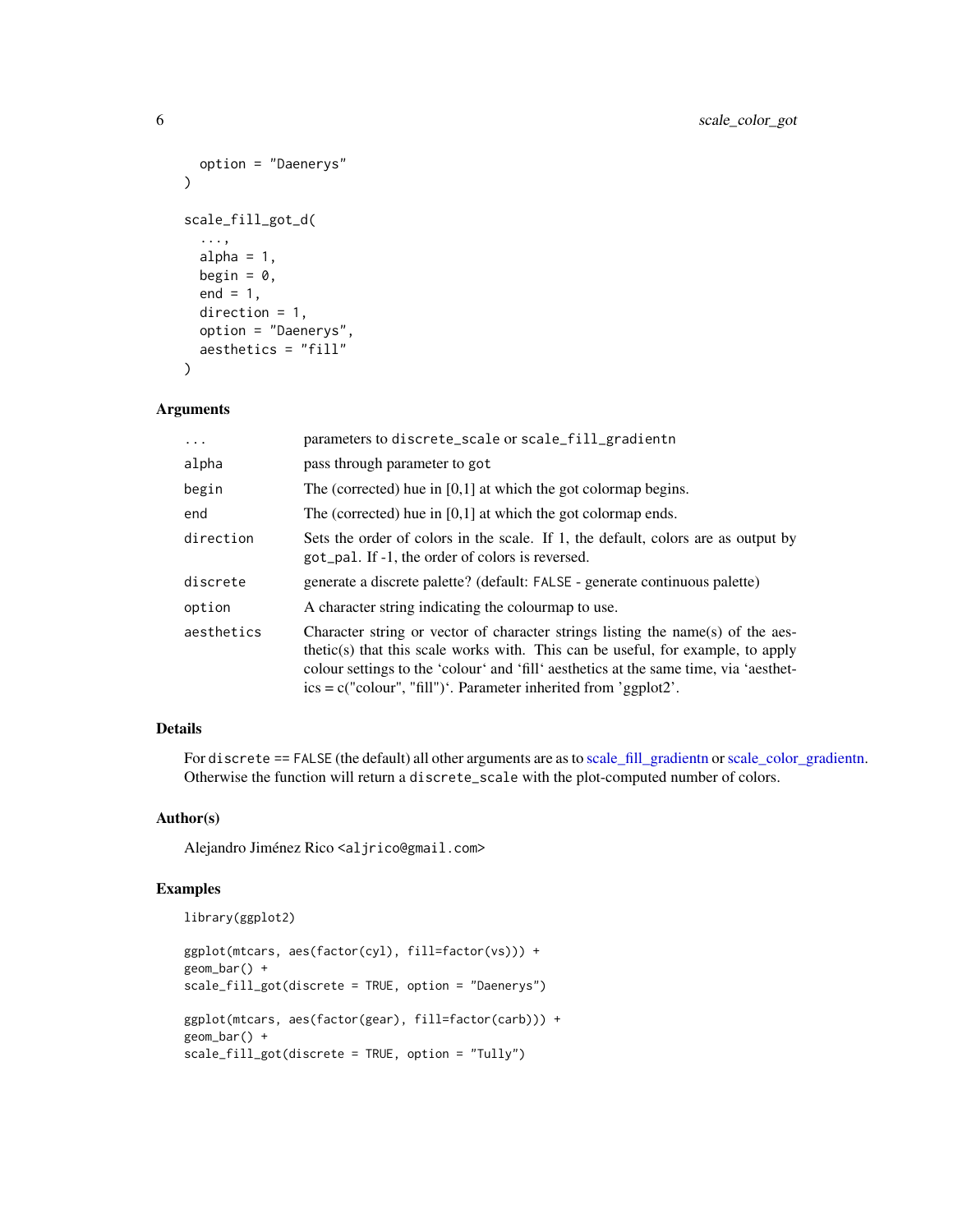```
option = "Daenerys"
\lambdascale_fill_got_d(
  ...,
 alpha = 1,
 begin = 0,
  end = 1,
 direction = 1,
 option = "Daenerys",
  aesthetics = "fill"
\mathcal{L}
```
#### Arguments

| $\cdot$    | parameters to discrete_scale or scale_fill_gradientn                                                                                                                                                                                                                                                                             |
|------------|----------------------------------------------------------------------------------------------------------------------------------------------------------------------------------------------------------------------------------------------------------------------------------------------------------------------------------|
| alpha      | pass through parameter to got                                                                                                                                                                                                                                                                                                    |
| begin      | The (corrected) hue in $[0,1]$ at which the got colormap begins.                                                                                                                                                                                                                                                                 |
| end        | The (corrected) hue in $[0,1]$ at which the got colormap ends.                                                                                                                                                                                                                                                                   |
| direction  | Sets the order of colors in the scale. If 1, the default, colors are as output by<br>got_pal. If -1, the order of colors is reversed.                                                                                                                                                                                            |
| discrete   | generate a discrete palette? (default: FALSE - generate continuous palette)                                                                                                                                                                                                                                                      |
| option     | A character string indicating the colour map to use.                                                                                                                                                                                                                                                                             |
| aesthetics | Character string or vector of character strings listing the name(s) of the aes-<br>thetic(s) that this scale works with. This can be useful, for example, to apply<br>colour settings to the 'colour' and 'fill' aesthetics at the same time, via 'aesthet-<br>$ics = c("colour", "fill")'. Parameter inherited from 'ggplot2'.$ |

#### Details

For discrete == FALSE (the default) all other arguments are as to [scale\\_fill\\_gradientn](#page-0-0) or [scale\\_color\\_gradientn.](#page-0-0) Otherwise the function will return a discrete\_scale with the plot-computed number of colors.

#### Author(s)

Alejandro Jiménez Rico <aljrico@gmail.com>

#### Examples

```
library(ggplot2)
```

```
ggplot(mtcars, aes(factor(cyl), fill=factor(vs))) +
geom_bar() +
scale_fill_got(discrete = TRUE, option = "Daenerys")
ggplot(mtcars, aes(factor(gear), fill=factor(carb))) +
geom_bar() +
scale_fill_got(discrete = TRUE, option = "Tully")
```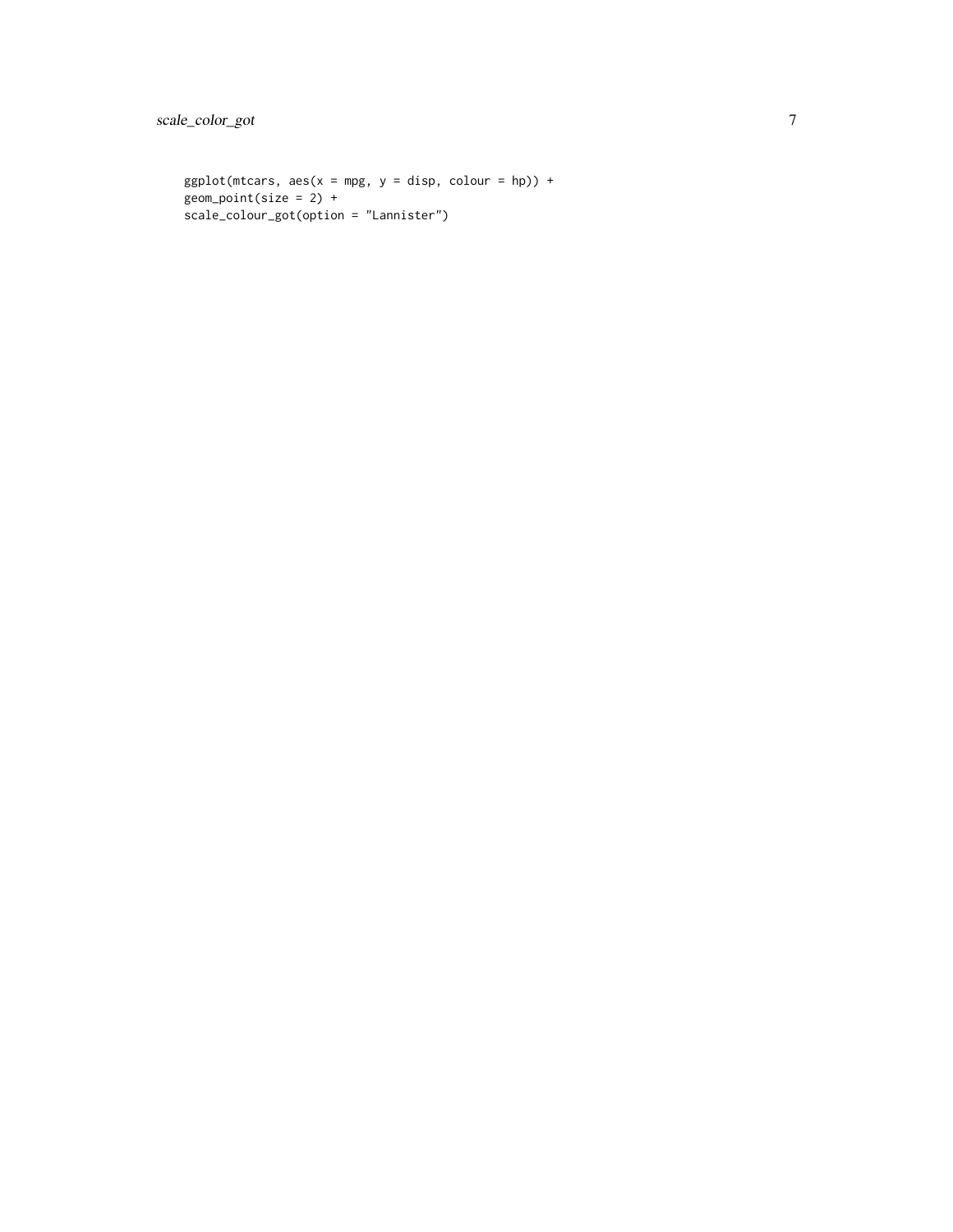```
ggplot(mtcars, aes(x = mpg, y = disp, colour = hp)) +geom_point(size = 2) +
scale_colour_got(option = "Lannister")
```